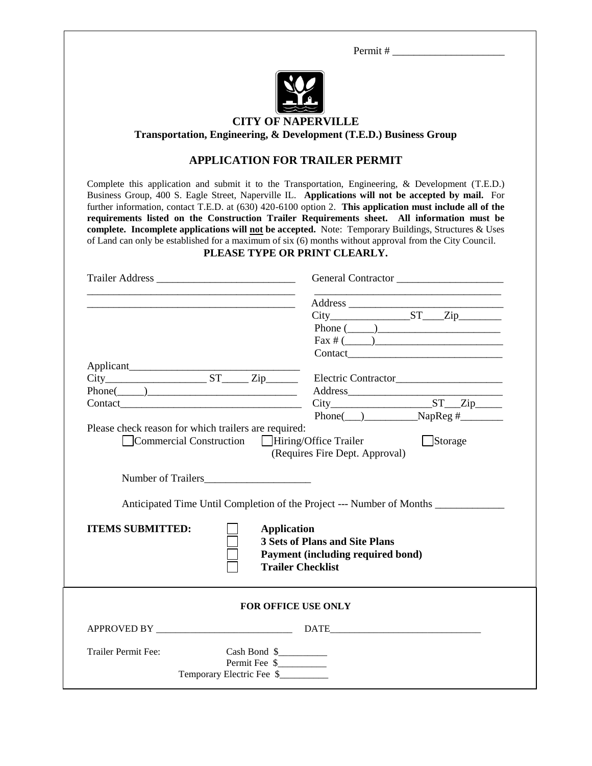Permit # \_\_\_\_\_\_\_\_\_\_\_\_\_\_\_\_\_\_\_\_\_



### **CITY OF NAPERVILLE Transportation, Engineering, & Development (T.E.D.) Business Group**

## **APPLICATION FOR TRAILER PERMIT**

Complete this application and submit it to the Transportation, Engineering, & Development (T.E.D.) Business Group, 400 S. Eagle Street, Naperville IL. **Applications will not be accepted by mail.** For further information, contact T.E.D. at (630) 420-6100 option 2. **This application must include all of the requirements listed on the Construction Trailer Requirements sheet. All information must be complete. Incomplete applications will not be accepted.** Note: Temporary Buildings, Structures & Uses of Land can only be established for a maximum of six (6) months without approval from the City Council.

#### **PLEASE TYPE OR PRINT CLEARLY.**

|                                                             | General Contractor                                                                                                           |
|-------------------------------------------------------------|------------------------------------------------------------------------------------------------------------------------------|
| <u> 1989 - Johann Barbara, martxa al III-lea (h. 1989).</u> |                                                                                                                              |
|                                                             |                                                                                                                              |
|                                                             | Phone $(\_\_)$                                                                                                               |
|                                                             | $\text{Fax} \# (\_\_\_\_\_$                                                                                                  |
|                                                             |                                                                                                                              |
|                                                             |                                                                                                                              |
| $City$ $ST$ $Zip$ $Zip$                                     | Electric Contractor_______________________                                                                                   |
| $Phone(\_)$                                                 |                                                                                                                              |
|                                                             | $Phone(\_\_)$ $NapReg \#$                                                                                                    |
|                                                             | Anticipated Time Until Completion of the Project --- Number of Months                                                        |
| <b>ITEMS SUBMITTED:</b>                                     | <b>Application</b><br><b>3 Sets of Plans and Site Plans</b><br>Payment (including required bond)<br><b>Trailer Checklist</b> |
|                                                             | <b>FOR OFFICE USE ONLY</b>                                                                                                   |
|                                                             |                                                                                                                              |
| <b>Trailer Permit Fee:</b>                                  | Cash Bond \$                                                                                                                 |
| Temporary Electric Fee \$                                   | Permit Fee \$                                                                                                                |
|                                                             |                                                                                                                              |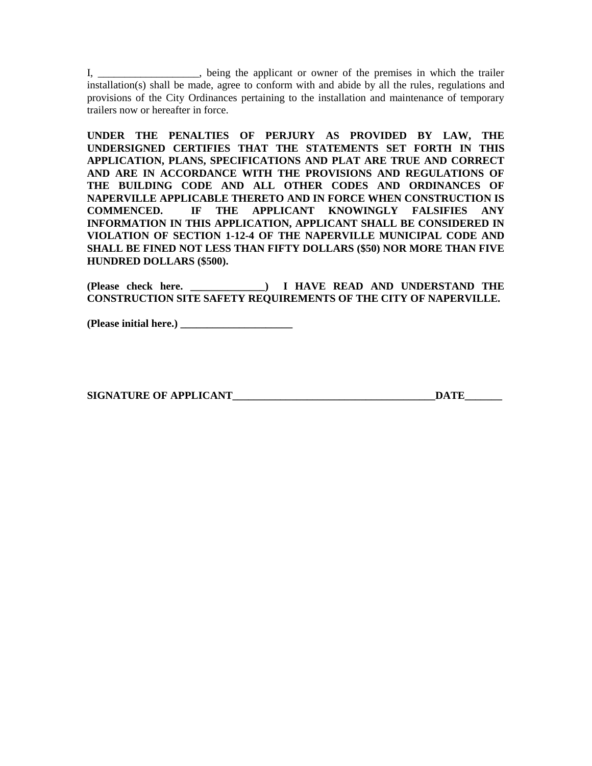I, \_\_\_\_\_\_\_\_\_\_\_\_\_\_\_\_\_\_\_, being the applicant or owner of the premises in which the trailer installation(s) shall be made, agree to conform with and abide by all the rules, regulations and provisions of the City Ordinances pertaining to the installation and maintenance of temporary trailers now or hereafter in force.

**UNDER THE PENALTIES OF PERJURY AS PROVIDED BY LAW, THE UNDERSIGNED CERTIFIES THAT THE STATEMENTS SET FORTH IN THIS APPLICATION, PLANS, SPECIFICATIONS AND PLAT ARE TRUE AND CORRECT AND ARE IN ACCORDANCE WITH THE PROVISIONS AND REGULATIONS OF THE BUILDING CODE AND ALL OTHER CODES AND ORDINANCES OF NAPERVILLE APPLICABLE THERETO AND IN FORCE WHEN CONSTRUCTION IS COMMENCED. IF THE APPLICANT KNOWINGLY FALSIFIES ANY INFORMATION IN THIS APPLICATION, APPLICANT SHALL BE CONSIDERED IN VIOLATION OF SECTION 1-12-4 OF THE NAPERVILLE MUNICIPAL CODE AND SHALL BE FINED NOT LESS THAN FIFTY DOLLARS (\$50) NOR MORE THAN FIVE HUNDRED DOLLARS (\$500).**

**(Please check here. \_\_\_\_\_\_\_\_\_\_\_\_\_\_) I HAVE READ AND UNDERSTAND THE CONSTRUCTION SITE SAFETY REQUIREMENTS OF THE CITY OF NAPERVILLE.** 

**(Please initial here.) \_\_\_\_\_\_\_\_\_\_\_\_\_\_\_\_\_\_\_\_\_**

**SIGNATURE OF APPLICANT LEADER IN EXAMPLE SERVICE SERVICE SERVICE SERVICE SERVICE SERVICE SERVICE SERVICE SERVICE**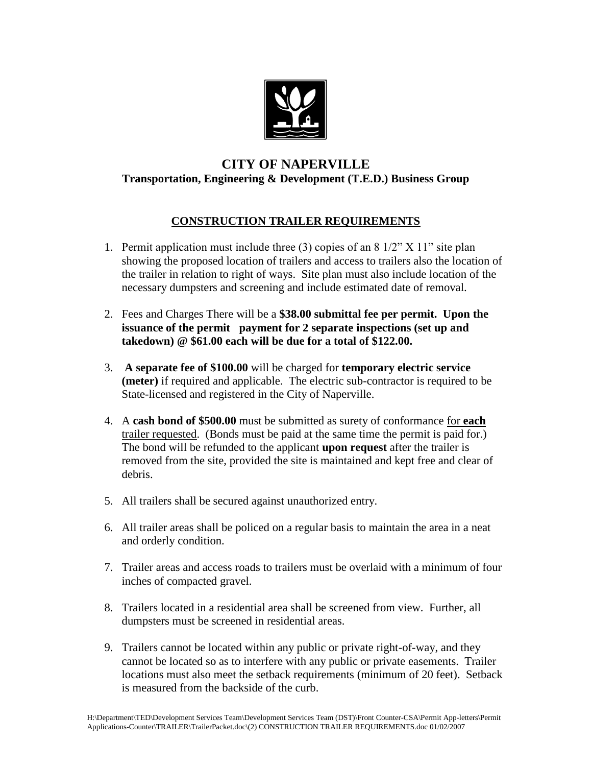

# **CITY OF NAPERVILLE Transportation, Engineering & Development (T.E.D.) Business Group**

## **CONSTRUCTION TRAILER REQUIREMENTS**

- 1. Permit application must include three (3) copies of an  $8\frac{1}{2}$  X  $11$ " site plan showing the proposed location of trailers and access to trailers also the location of the trailer in relation to right of ways. Site plan must also include location of the necessary dumpsters and screening and include estimated date of removal.
- 2. Fees and Charges There will be a **\$38.00 submittal fee per permit. Upon the issuance of the permit payment for 2 separate inspections (set up and takedown) @ \$61.00 each will be due for a total of \$122.00.**
- 3. **A separate fee of \$100.00** will be charged for **temporary electric service (meter)** if required and applicable. The electric sub-contractor is required to be State-licensed and registered in the City of Naperville.
- 4. A **cash bond of \$500.00** must be submitted as surety of conformance for **each** trailer requested. (Bonds must be paid at the same time the permit is paid for.) The bond will be refunded to the applicant **upon request** after the trailer is removed from the site, provided the site is maintained and kept free and clear of debris.
- 5. All trailers shall be secured against unauthorized entry.
- 6. All trailer areas shall be policed on a regular basis to maintain the area in a neat and orderly condition.
- 7. Trailer areas and access roads to trailers must be overlaid with a minimum of four inches of compacted gravel.
- 8. Trailers located in a residential area shall be screened from view. Further, all dumpsters must be screened in residential areas.
- 9. Trailers cannot be located within any public or private right-of-way, and they cannot be located so as to interfere with any public or private easements. Trailer locations must also meet the setback requirements (minimum of 20 feet). Setback is measured from the backside of the curb.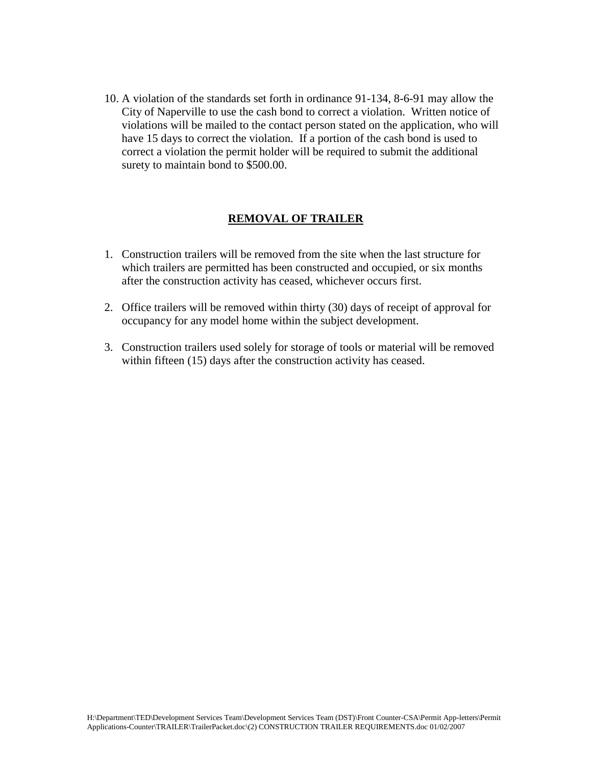10. A violation of the standards set forth in ordinance 91-134, 8-6-91 may allow the City of Naperville to use the cash bond to correct a violation. Written notice of violations will be mailed to the contact person stated on the application, who will have 15 days to correct the violation. If a portion of the cash bond is used to correct a violation the permit holder will be required to submit the additional surety to maintain bond to \$500.00.

## **REMOVAL OF TRAILER**

- 1. Construction trailers will be removed from the site when the last structure for which trailers are permitted has been constructed and occupied, or six months after the construction activity has ceased, whichever occurs first.
- 2. Office trailers will be removed within thirty (30) days of receipt of approval for occupancy for any model home within the subject development.
- 3. Construction trailers used solely for storage of tools or material will be removed within fifteen (15) days after the construction activity has ceased.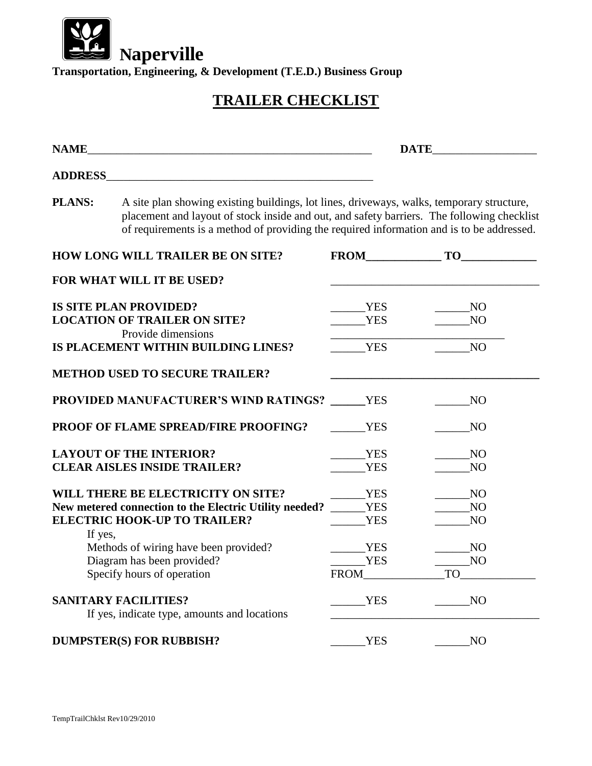

**Transportation, Engineering, & Development (T.E.D.) Business Group**

# **TRAILER CHECKLIST**

| <b>NAME</b>                                                                                                                         |                                                                                                                                                                                                                                                                                      |                                        |                                               |
|-------------------------------------------------------------------------------------------------------------------------------------|--------------------------------------------------------------------------------------------------------------------------------------------------------------------------------------------------------------------------------------------------------------------------------------|----------------------------------------|-----------------------------------------------|
| <b>ADDRESS_</b>                                                                                                                     |                                                                                                                                                                                                                                                                                      |                                        |                                               |
| <b>PLANS:</b>                                                                                                                       | A site plan showing existing buildings, lot lines, driveways, walks, temporary structure,<br>placement and layout of stock inside and out, and safety barriers. The following checklist<br>of requirements is a method of providing the required information and is to be addressed. |                                        |                                               |
|                                                                                                                                     | <b>HOW LONG WILL TRAILER BE ON SITE?</b>                                                                                                                                                                                                                                             |                                        | $T0$ TO                                       |
|                                                                                                                                     | FOR WHAT WILL IT BE USED?                                                                                                                                                                                                                                                            |                                        |                                               |
|                                                                                                                                     | <b>IS SITE PLAN PROVIDED?</b><br><b>LOCATION OF TRAILER ON SITE?</b>                                                                                                                                                                                                                 | YES<br><b>YES</b>                      | NO<br>N <sub>O</sub>                          |
|                                                                                                                                     | Provide dimensions<br>IS PLACEMENT WITHIN BUILDING LINES?                                                                                                                                                                                                                            | <b>YES</b>                             | NO                                            |
|                                                                                                                                     | <b>METHOD USED TO SECURE TRAILER?</b>                                                                                                                                                                                                                                                |                                        |                                               |
|                                                                                                                                     | <b>PROVIDED MANUFACTURER'S WIND RATINGS?</b> YES                                                                                                                                                                                                                                     |                                        | N <sub>O</sub>                                |
| <b>PROOF OF FLAME SPREAD/FIRE PROOFING?</b>                                                                                         |                                                                                                                                                                                                                                                                                      | <b>YES</b>                             | N <sub>O</sub>                                |
| <b>LAYOUT OF THE INTERIOR?</b><br><b>CLEAR AISLES INSIDE TRAILER?</b>                                                               |                                                                                                                                                                                                                                                                                      | <b>YES</b><br><b>YES</b>               | N <sub>O</sub><br>N <sub>O</sub>              |
| WILL THERE BE ELECTRICITY ON SITE?<br>New metered connection to the Electric Utility needed?<br><b>ELECTRIC HOOK-UP TO TRAILER?</b> |                                                                                                                                                                                                                                                                                      | <b>YES</b><br><b>YES</b><br><b>YES</b> | <b>NO</b><br>N <sub>O</sub><br>N <sub>O</sub> |
| If yes,                                                                                                                             | Methods of wiring have been provided?<br>Diagram has been provided?<br>Specify hours of operation                                                                                                                                                                                    | <b>YES</b><br><b>YES</b><br>FROM       | N <sub>O</sub><br>NO<br><b>TO</b>             |
| <b>SANITARY FACILITIES?</b><br>If yes, indicate type, amounts and locations                                                         |                                                                                                                                                                                                                                                                                      | <b>YES</b>                             | N <sub>O</sub>                                |
| <b>DUMPSTER(S) FOR RUBBISH?</b>                                                                                                     |                                                                                                                                                                                                                                                                                      | <b>YES</b>                             | N <sub>O</sub>                                |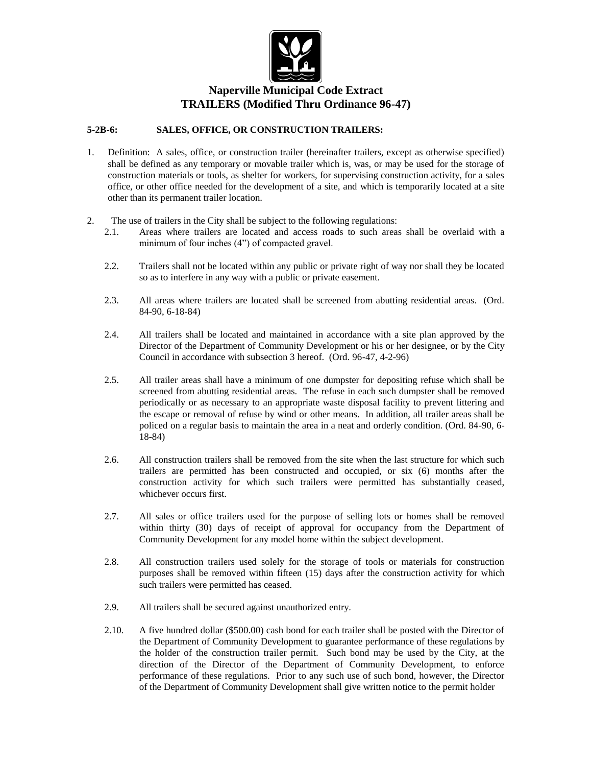

## **Naperville Municipal Code Extract TRAILERS (Modified Thru Ordinance 96-47)**

#### **5-2B-6: SALES, OFFICE, OR CONSTRUCTION TRAILERS:**

- 1. Definition: A sales, office, or construction trailer (hereinafter trailers, except as otherwise specified) shall be defined as any temporary or movable trailer which is, was, or may be used for the storage of construction materials or tools, as shelter for workers, for supervising construction activity, for a sales office, or other office needed for the development of a site, and which is temporarily located at a site other than its permanent trailer location.
- 2. The use of trailers in the City shall be subject to the following regulations:
	- 2.1. Areas where trailers are located and access roads to such areas shall be overlaid with a minimum of four inches (4") of compacted gravel.
	- 2.2. Trailers shall not be located within any public or private right of way nor shall they be located so as to interfere in any way with a public or private easement.
	- 2.3. All areas where trailers are located shall be screened from abutting residential areas. (Ord. 84-90, 6-18-84)
	- 2.4. All trailers shall be located and maintained in accordance with a site plan approved by the Director of the Department of Community Development or his or her designee, or by the City Council in accordance with subsection 3 hereof. (Ord. 96-47, 4-2-96)
	- 2.5. All trailer areas shall have a minimum of one dumpster for depositing refuse which shall be screened from abutting residential areas. The refuse in each such dumpster shall be removed periodically or as necessary to an appropriate waste disposal facility to prevent littering and the escape or removal of refuse by wind or other means. In addition, all trailer areas shall be policed on a regular basis to maintain the area in a neat and orderly condition. (Ord. 84-90, 6- 18-84)
	- 2.6. All construction trailers shall be removed from the site when the last structure for which such trailers are permitted has been constructed and occupied, or six (6) months after the construction activity for which such trailers were permitted has substantially ceased, whichever occurs first.
	- 2.7. All sales or office trailers used for the purpose of selling lots or homes shall be removed within thirty (30) days of receipt of approval for occupancy from the Department of Community Development for any model home within the subject development.
	- 2.8. All construction trailers used solely for the storage of tools or materials for construction purposes shall be removed within fifteen (15) days after the construction activity for which such trailers were permitted has ceased.
	- 2.9. All trailers shall be secured against unauthorized entry.
	- 2.10. A five hundred dollar (\$500.00) cash bond for each trailer shall be posted with the Director of the Department of Community Development to guarantee performance of these regulations by the holder of the construction trailer permit. Such bond may be used by the City, at the direction of the Director of the Department of Community Development, to enforce performance of these regulations. Prior to any such use of such bond, however, the Director of the Department of Community Development shall give written notice to the permit holder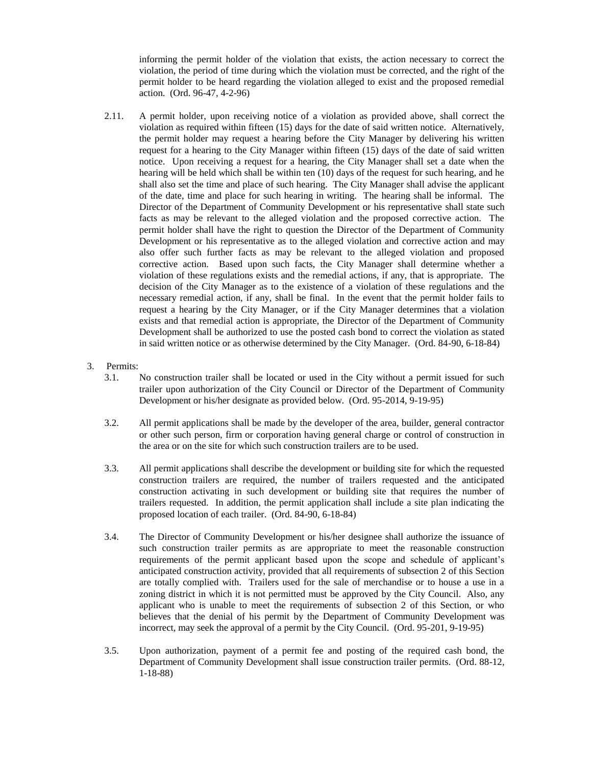informing the permit holder of the violation that exists, the action necessary to correct the violation, the period of time during which the violation must be corrected, and the right of the permit holder to be heard regarding the violation alleged to exist and the proposed remedial action. (Ord. 96-47, 4-2-96)

- 2.11. A permit holder, upon receiving notice of a violation as provided above, shall correct the violation as required within fifteen (15) days for the date of said written notice. Alternatively, the permit holder may request a hearing before the City Manager by delivering his written request for a hearing to the City Manager within fifteen (15) days of the date of said written notice. Upon receiving a request for a hearing, the City Manager shall set a date when the hearing will be held which shall be within ten (10) days of the request for such hearing, and he shall also set the time and place of such hearing. The City Manager shall advise the applicant of the date, time and place for such hearing in writing. The hearing shall be informal. The Director of the Department of Community Development or his representative shall state such facts as may be relevant to the alleged violation and the proposed corrective action. The permit holder shall have the right to question the Director of the Department of Community Development or his representative as to the alleged violation and corrective action and may also offer such further facts as may be relevant to the alleged violation and proposed corrective action. Based upon such facts, the City Manager shall determine whether a violation of these regulations exists and the remedial actions, if any, that is appropriate. The decision of the City Manager as to the existence of a violation of these regulations and the necessary remedial action, if any, shall be final. In the event that the permit holder fails to request a hearing by the City Manager, or if the City Manager determines that a violation exists and that remedial action is appropriate, the Director of the Department of Community Development shall be authorized to use the posted cash bond to correct the violation as stated in said written notice or as otherwise determined by the City Manager. (Ord. 84-90, 6-18-84)
- 3. Permits:
	- 3.1. No construction trailer shall be located or used in the City without a permit issued for such trailer upon authorization of the City Council or Director of the Department of Community Development or his/her designate as provided below. (Ord. 95-2014, 9-19-95)
	- 3.2. All permit applications shall be made by the developer of the area, builder, general contractor or other such person, firm or corporation having general charge or control of construction in the area or on the site for which such construction trailers are to be used.
	- 3.3. All permit applications shall describe the development or building site for which the requested construction trailers are required, the number of trailers requested and the anticipated construction activating in such development or building site that requires the number of trailers requested. In addition, the permit application shall include a site plan indicating the proposed location of each trailer. (Ord. 84-90, 6-18-84)
	- 3.4. The Director of Community Development or his/her designee shall authorize the issuance of such construction trailer permits as are appropriate to meet the reasonable construction requirements of the permit applicant based upon the scope and schedule of applicant's anticipated construction activity, provided that all requirements of subsection 2 of this Section are totally complied with. Trailers used for the sale of merchandise or to house a use in a zoning district in which it is not permitted must be approved by the City Council. Also, any applicant who is unable to meet the requirements of subsection 2 of this Section, or who believes that the denial of his permit by the Department of Community Development was incorrect, may seek the approval of a permit by the City Council. (Ord. 95-201, 9-19-95)
	- 3.5. Upon authorization, payment of a permit fee and posting of the required cash bond, the Department of Community Development shall issue construction trailer permits. (Ord. 88-12, 1-18-88)